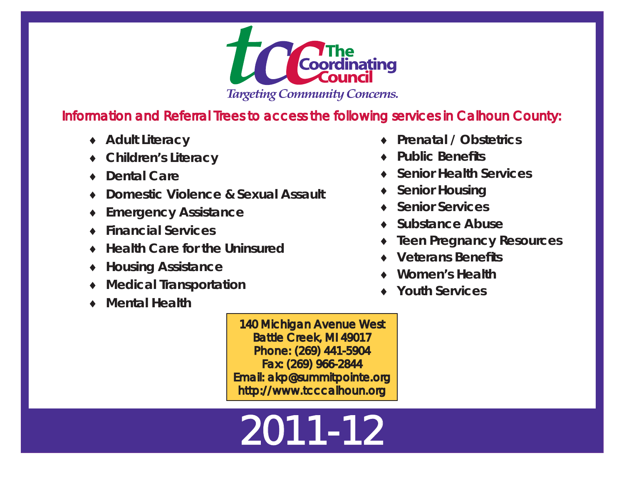

## Information and Referral Trees to access the following services in Calhoun County:

- ◆ Adult Literacy
- **Children's Literacy**
- ◆ Dental Care
- **Domestic Violence & Sexual Assault**
- ♦ **Emergency Assistance**
- **Financial Services**
- **Health Care for the Uninsured**
- **Housing Assistance**
- ♦ **Medical Transportation**
- ◆ Mental Health
- **Prenatal / Obstetrics**
- **Public Benefi ts**
- ♦ **Senior Health Services**
- **Senior Housing**
- ◆ Senior Services
- ◆ Substance Abuse
- ♦ **Teen Pregnancy Resources**
- ♦ **Veterans Benefits**
- ♦ **Women's Health**
- ♦ **Youth Services**

140 Michigan Avenue West Battle Creek, MI 49017 Phone: (269) 441-5904 Fax: (269) 966-2844 Email: akp@summitpointe.org http://www.tcccalhoun.org

# 2011-12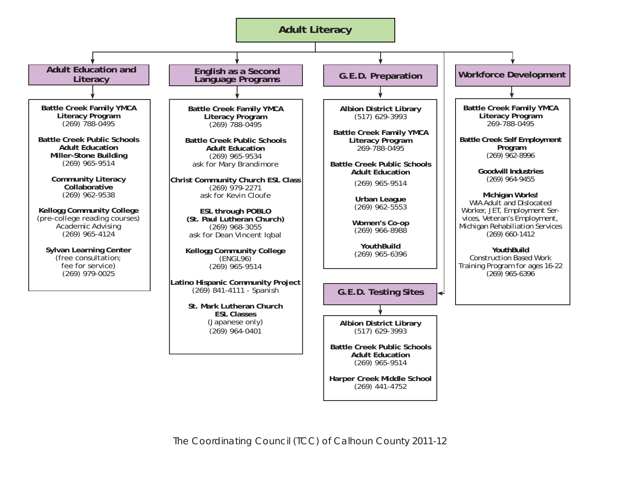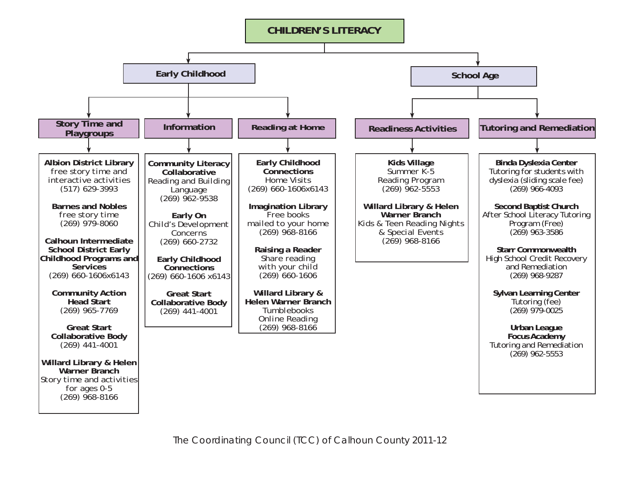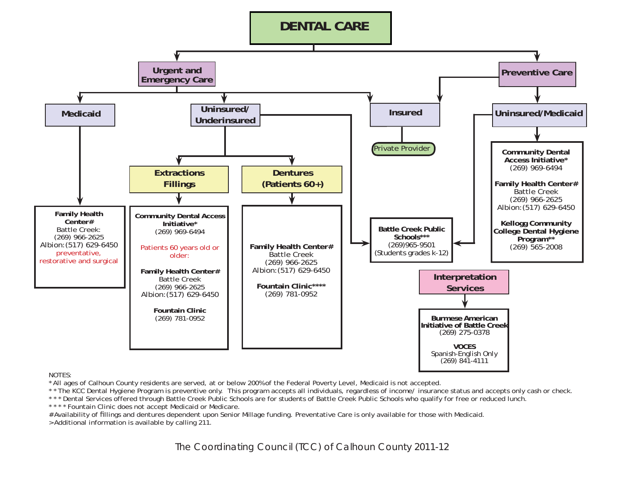

\* All ages of Calhoun County residents are served, at or below 200% of the Federal Poverty Level, Medicaid is not accepted.

\* \* The KCC Dental Hygiene Program is preventive only. This program accepts all individuals, regardless of income/ insurance status and accepts only cash or check.

\* \* \* Dental Services offered through Battle Creek Public Schools are for students of Battle Creek Public Schools who qualify for free or reduced lunch.

\* \* \* \* Fountain Clinic does not accept Medicaid or Medicare.

# Availability of fillings and dentures dependent upon Senior Millage funding. Preventative Care is only available for those with Medicaid.

> Additional information is available by calling 211.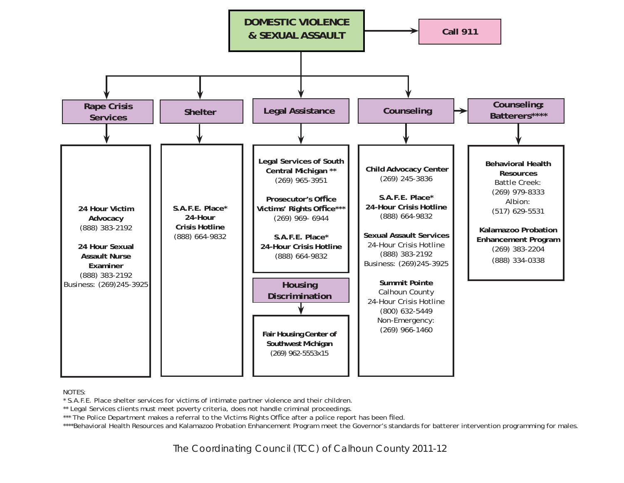

\* S.A.F.E. Place shelter services for victims of intimate partner violence and their children.

\*\* Legal Services clients must meet poverty criteria, does not handle criminal proceedings.

\*\*\* The Police Department makes a referral to the Victims Rights Office after a police report has been filed.

\*\*\*\*Behavioral Health Resources and Kalamazoo Probation Enhancement Program meet the Governor's standards for batterer intervention programming for males.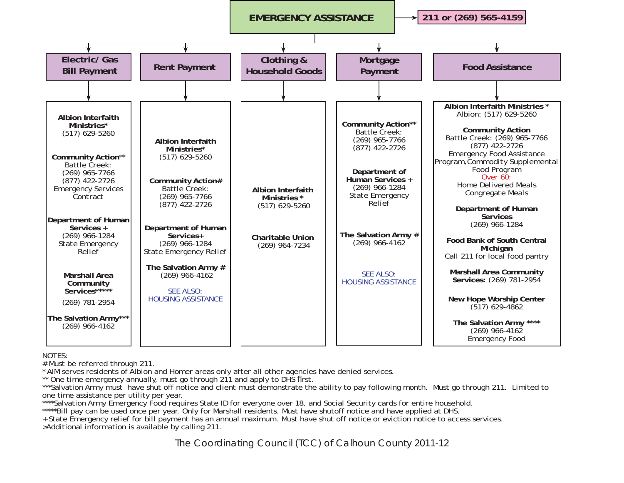

# Must be referred through 211.

\* AIM serves residents of Albion and Homer areas only after all other agencies have denied services.

\*\* One time emergency annually, must go through 211 and apply to DHS first.

\*\*\*Salvation Army must have shut off notice and client must demonstrate the ability to pay following month. Must go through 211. Limited to one time assistance per utility per year.

\*\*\*\*Salvation Army Emergency Food requires State ID for everyone over 18, and Social Security cards for entire household. \*\*\*\*\*Bill pay can be used once per year. Only for Marshall residents. Must have shutoff notice and have applied at DHS.

+ State Emergency relief for bill payment has an annual maximum. Must have shut off notice or eviction notice to access services. >Additional information is available by calling 211.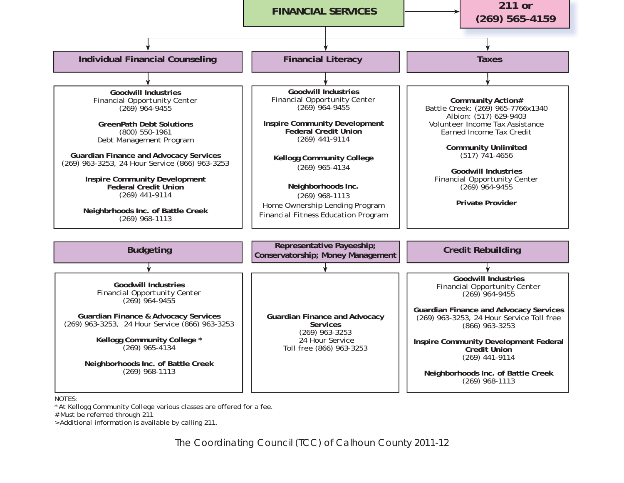

\* At Kellogg Community College various classes are offered for a fee.

# Must be referred through 211

> Additional information is available by calling 211.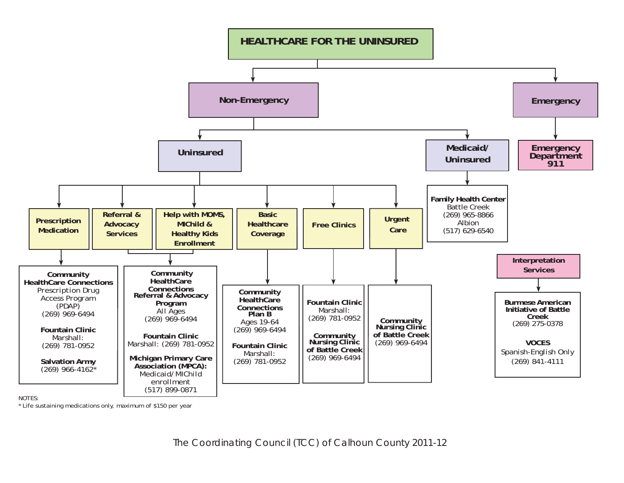

\* Life sustaining medications only, maximum of \$150 per year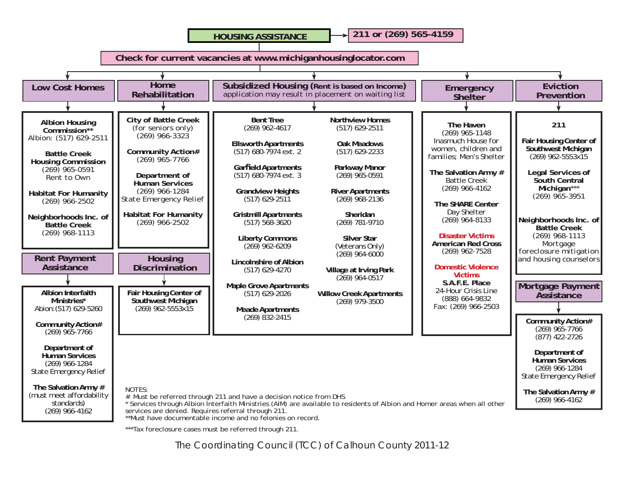**HOUSING ASSISTANCE**

**211 or (269) 565-4159**

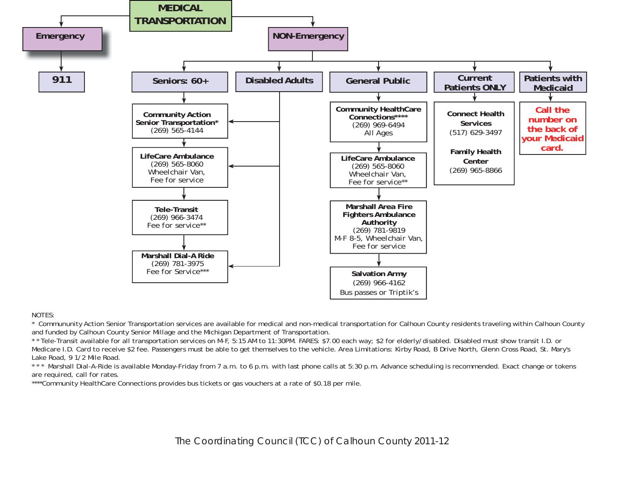

\* Commununity Action Senior Transportation services are available for medical and non-medical transportation for Calhoun County residents traveling within Calhoun County and funded by Calhoun County Senior Millage and the Michigan Department of Transportation.

\* \* Tele-Transit available for all transportation services on M-F, 5:15 AM to 11:30PM. FARES: \$7.00 each way; \$2 for elderly/disabled. Disabled must show transit I.D. or Medicare I.D. Card to receive \$2 fee. Passengers must be able to get themselves to the vehicle. Area Limitations: Kirby Road, B Drive North, Glenn Cross Road, St. Mary's Lake Road, 9 1/2 Mile Road.

\* \* \* Marshall Dial-A-Ride is available Monday-Friday from 7 a.m. to 6 p.m. with last phone calls at 5:30 p.m. Advance scheduling is recommended. Exact change or tokens are required, call for rates.

\*\*\*\*Community HealthCare Connections provides bus tickets or gas vouchers at a rate of \$0.18 per mile.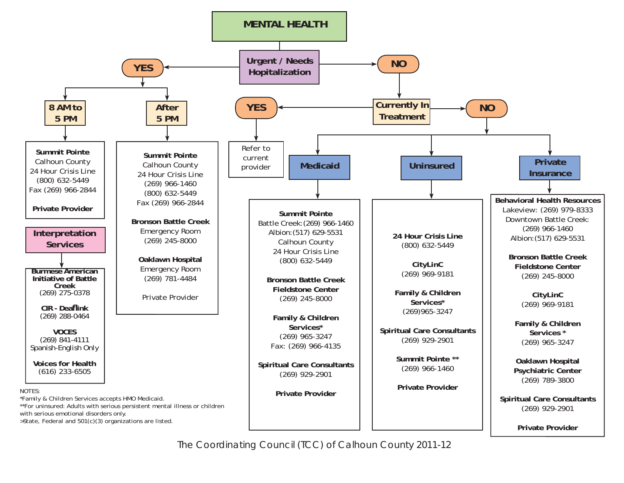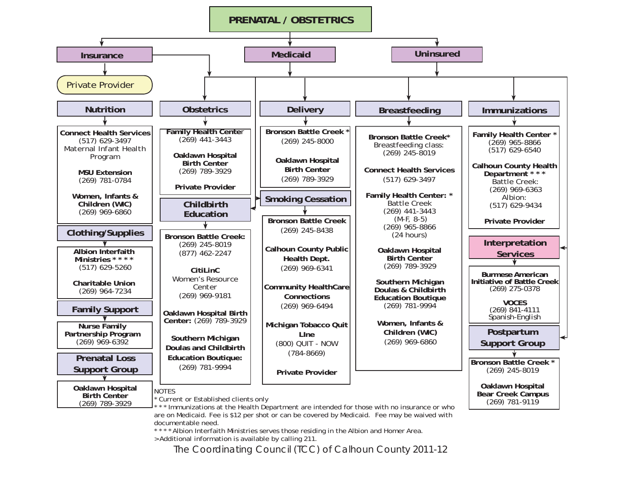

documentable need.

 $*$  Albion Interfaith Ministries serves those residing in the Albion and Homer Area. > Additional information is available by calling 211.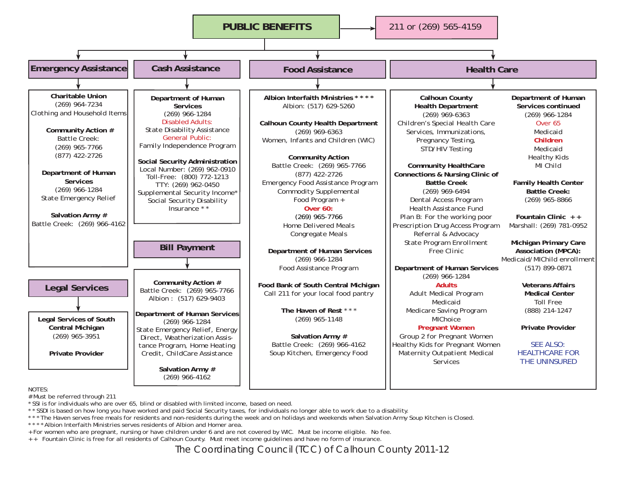

# Must be referred through 211

\* SSI is for individuals who are over 65, blind or disabled with limited income, based on need.

\* \* SSDI is based on how long you have worked and paid Social Security taxes, for individuals no longer able to work due to a disability.

\*\*\* The Haven serves free meals for residents and non-residents during the week and on holidays and weekends when Salvation Army Soup Kitchen is Closed.

\* \* \* \* Albion Interfaith Ministries serves residents of Albion and Homer area.

+ For women who are pregnant, nursing or have children under 6 and are not covered by WIC. Must be income eligible. No fee.

+ + Fountain Clinic is free for all residents of Calhoun County. Must meet income guidelines and have no form of insurance.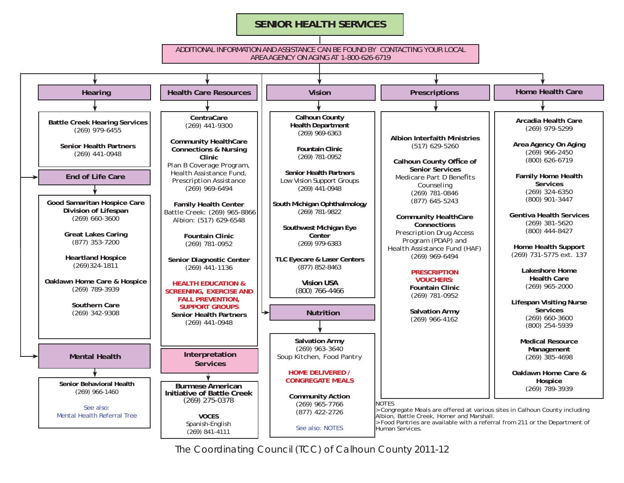#### **SENIOR HEALTH SERVICES**

#### ADDITIONAL INFORMATION AND ASSISTANCE CAN BE FOUND BY CONTACTING YOUR LOCAL AREA AGENCY ON AGING AT 1-800-626-6719

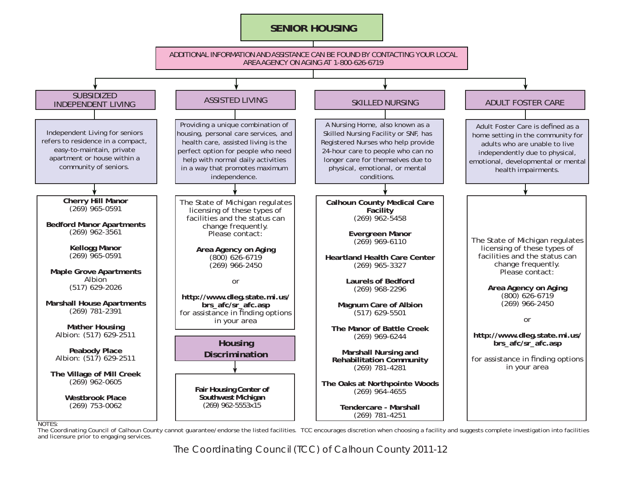#### **SENIOR HOUSING**



The Coordinating Council of Calhoun County cannot guarantee/endorse the listed facilities. TCC encourages discretion when choosing a facility and suggests complete investigation into facilities and licensure prior to engaging services.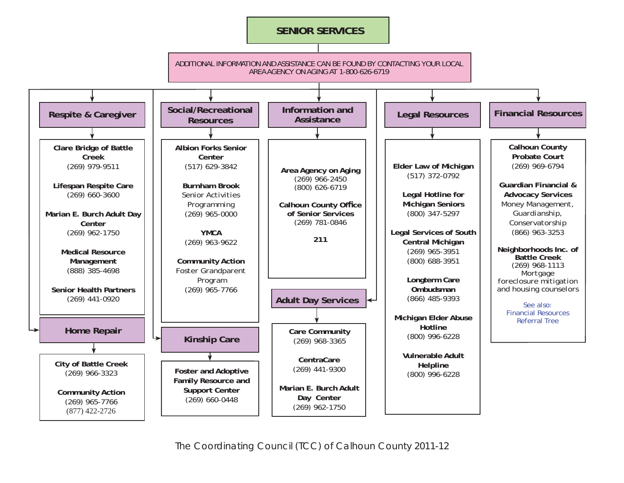#### **SENIOR SERVICES**

ADDITIONAL INFORMATION AND ASSISTANCE CAN BE FOUND BY CONTACTING YOUR LOCAL OR THE MICHIGAN LONGTERM CARE CONNECTION AT 866-MICH-LTC (1-866-642-4582) AREA AGENCY ON AGING AT 1-800-626-6719

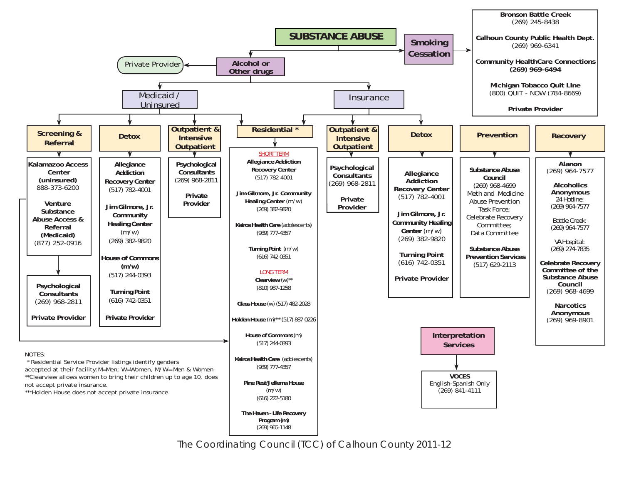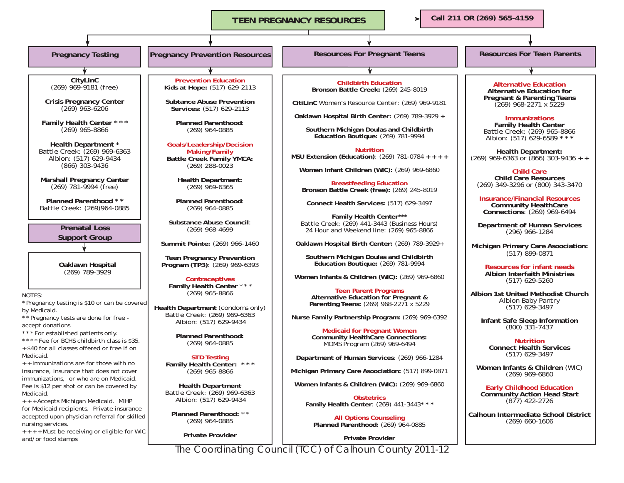**TEEN PREGNANCY RESOURCES**

**Call 211 OR (269) 565-4159**

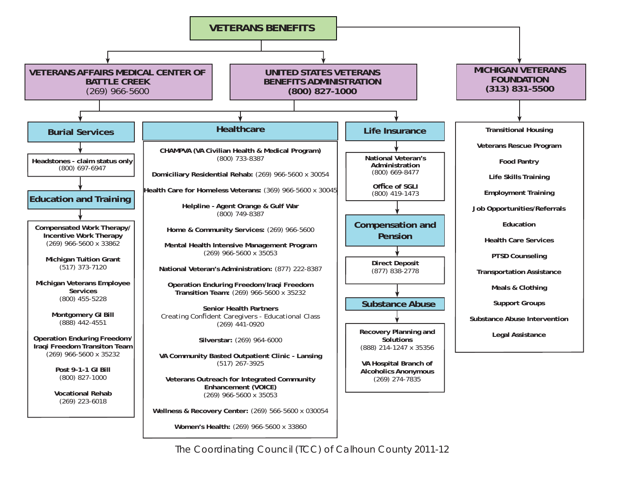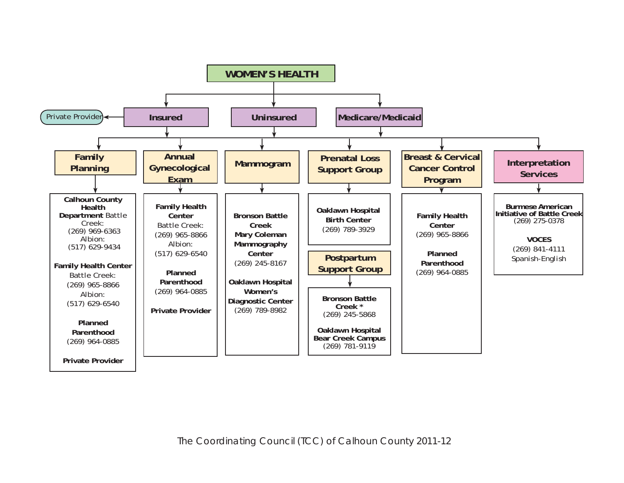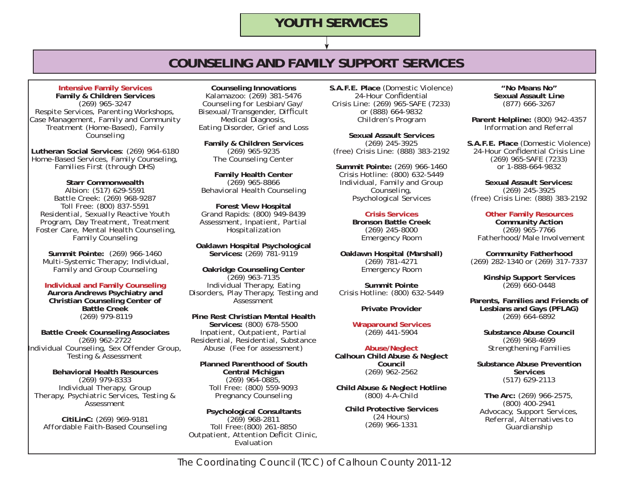## **COUNSELING AND FAMILY SUPPORT SERVICES**

**Intensive Family Services Family & Children Services** (269) 965-3247 *Respite Services, Parenting Workshops, Case Management, Family and Community Treatment (Home-Based), Family Counseling*

**Lutheran Social Services**: (269) 964-6180 *Home-Based Services, Family Counseling, Families First (through DHS)*

**Starr Commonwealth** Albion: (517) 629-5591 Battle Creek: (269) 968-9287 Toll Free: (800) 837-5591 *Residential, Sexually Reactive Youth Program, Day Treatment, Treatment Foster Care, Mental Health Counseling, Family Counseling*

**Summit Pointe:** (269) 966-1460 *Multi-Systemic Therapy; Individual, Family and Group Counseling*

**Individual and Family Counseling Aurora Andrews Psychiatry and Christian Counseling Center of Battle Creek**(269) 979-8119

**Battle Creek Counseling Associates**  (269) 962-2722 *Individual Counseling, Sex Offender Group, Testing & Assessment*

**Behavioral Health Resources** (269) 979-8333 *Individual Therapy, Group Therapy, Psychiatric Services, Testing & Assessment*

**CitiLinC:** (269) 969-9181 *Affordable Faith-Based Counseling*

**Counseling Innovations** Kalamazoo: (269) 381-5476 *Counseling for Lesbian/Gay/ Bisexual/Transgender, Difficult Medical Diagnosis, Eating Disorder, Grief and Loss* 

**Family & Children Services** (269) 965-9235 *The Counseling Center* 

**Family Health Center** (269) 965-8866 *Behavioral Health Counseling*

**Forest View Hospital** Grand Rapids: (800) 949-8439 *Assessment, Inpatient, Partial Hospitalization* 

**Oaklawn Hospital Psychological Services:** (269) 781-9119

**Oakridge Counseling Center**  (269) 963-7135 *Individual Therapy, Eating Disorders, Play Therapy, Testing and Assessment*

**Pine Rest Christian Mental Health Services:** (800) 678-5500 *Inpatient, Outpatient, Partial Residential, Residential, Substance Abuse (Fee for assessment)*

**Planned Parenthood of South Central Michigan**  $(269)$  964-0885. Toll Free: (800) 559-9093 *Pregnancy Counseling*

**Psychological Consultants** (269) 968-2811 Toll Free:(800) 261-8850 *Outpatient, Attention Deficit Clinic, Evaluation* 

**S.A.F.E. Place** (Domestic Violence) 24-Hour Confidential Crisis Line: (269) 965-SAFE (7233) or (888) 664-9832 *Children's Program*

**Sexual Assault Services**(269) 245-3925 (free) Crisis Line: (888) 383-2192

**Summit Pointe:** (269) 966-1460 Crisis Hotline: (800) 632-5449 *Individual, Family and Group Counseling, Psychological Services* 

> **Crisis Services Bronson Battle Creek**(269) 245-8000 Emergency Room

**Oaklawn Hospital (Marshall)** (269) 781-4271 Emergency Room

**Summit Pointe**Crisis Hotline: (800) 632-5449

**Private Provider**

**Wraparound Services**  (269) 441-5904

**Abuse/Neglect Calhoun Child Abuse & Neglect Council** (269) 962-2562

**Child Abuse & Neglect Hotline**  (800) 4-A-Child

**Child Protective Services** (24 Hours) (269) 966-1331

**"No Means No" Sexual Assault Line** (877) 666-3267

**Parent Helpline:** (800) 942-4357 *Information and Referral*

**S.A.F.E. Place** (Domestic Violence) 24-Hour Confidential Crisis Line (269) 965-SAFE (7233) or 1-888-664-9832

**Sexual Assault Services:**(269) 245-3925 (free) Crisis Line: (888) 383-2192

**Other Family Resources Community Action** (269) 965-7766 *Fatherhood/Male Involvement*

**Community Fatherhood** (269) 282-1340 or (269) 317-7337

> **Kinship Support Services** (269) 660-0448

**Parents, Families and Friends of Lesbians and Gays (PFLAG)** (269) 664-6892

> **Substance Abuse Council**(269) 968-4699 *Strengthening Families*

**Substance Abuse Prevention Services**(517) 629-2113

**The Arc:** (269) 966-2575, (800) 400-2941 *Advocacy, Support Services, Referral, Alternatives to Guardianship*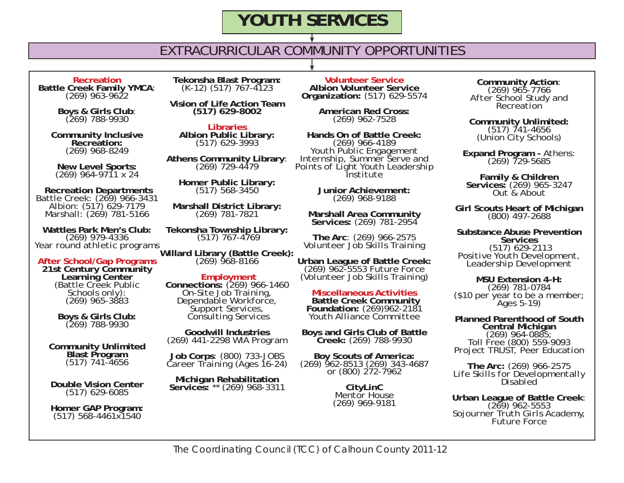## EXTRACURRICULAR COMMUNITY OPPORTUNITIES

**RecreationBattle Creek Family YMCA**: (269) 963-9622

**Boys & Girls Club**: (269) 788-9930

**Community Inclusive Recreation:**(269) 968-8249

**New Level Sports:** (269) 964-9711 x 24

**Recreation Departments**<br>
Battle Creek: (269) 966-3431<br>
Albion: (517) 629-7179<br>
Marshall: (269) 781-5166

**Wattles Park Men's Club:** (269) 979-4336 *Year round athletic programs*

**After School/Gap Programs 21st Century Community Learning Center** (Battle Creek Public Schools only): (269) 965-3883

**Boys & Girls Club:** (269) 788-9930

**Community Unlimited Blast Program** (517) 741-4656

**Double Vision Center**(517) 629-6085

**Homer GAP Program:** (517) 568-4461x1540

**Tekonsha Blast Program:** (K-12) (517) 767-4123

**Vision of Life Action Team(517) 629-8002**

**LibrariesAlbion Public Library:** (517) 629-3993

**Athens Community Library**: (269) 729-4479

**Homer Public Library:** (517) 568-3450

**Marshall District Library:** (269) 781-7821

**Tekonsha Township Library:** (517) 767-4769

**Willard Library (Battle Creek):** (269) 968-8166

**Employment<br>
Connections:** (269) 966-1460<br> *On-Site Job Training,<br>
Dependable Workforce,<br>
Support Services,<br>
Consulting Services* 

**Goodwill Industries**(269) 441-2298 *WIA Program*

**Job Corps**: (800) 733-JOBS *Career Training (Ages 16-24)*

**Michigan Rehabilitation Services:** \*\* (269) 968-3311

**Volunteer Service Albion Volunteer Service Organization:** (517) 629-5574

**American Red Cross:**  (269) 962-7528

**Hands On of Battle Creek:** (269) 966-4189 *Youth Public Engagement Internship, Summer Serve and Points of Light Youth Leadership Institute*

> **Junior Achievement:** (269) 968-9188

**Marshall Area Community Services:** (269) 781-2954

**The Arc**: (269) 966-2575 *Volunteer Job Skills Training*

**Urban League of Battle Creek:** (269) 962-5553 *Future Force (Volunteer Job Skills Training)* 

**Miscellaneous ActivitiesBattle Creek Community Battle Creek Community Foundation:** (269)962-2181 *Youth Alliance Committee*

**Boys and Girls Club of Battle Creek:** (269) 788-9930

**Boy Scouts of America:** (269) 962-8513 (269) 343-4687 or (800) 272-7962

**CityLinC** *Mentor House*(269) 969-9181

**Community Action**: (269) 965-7766 *After School Study and Recreation* 

**Community Unlimited:** (517) 741-4656 (Union City Schools)

**Expand Program -** Athens: (269) 729-5685

**Family & Children Services:** (269) 965-3247 *Out & About*

**Girl Scouts Heart of Michigan** (800) 497-2688

**Substance Abuse Prevention Services** $(517)$  629-2113 (517) 629-2113 *Positive Youth Development, Leadership Development*

**MSU Extension 4-H:** (269) 781-0784 (\$10 per year to be a member; Ages 5-19)

**Planned Parenthood of South Central Michigan** (269) 964-0885; Toll Free (800) 559-9093 *Project TRUST, Peer Education*

**The Arc:** (269) 966-2575 *Life Skills for Developmentally Disabled*

**Urban League of Battle Creek**: (269) 962-5553 *Sojourner Truth Girls Academy, Future Force*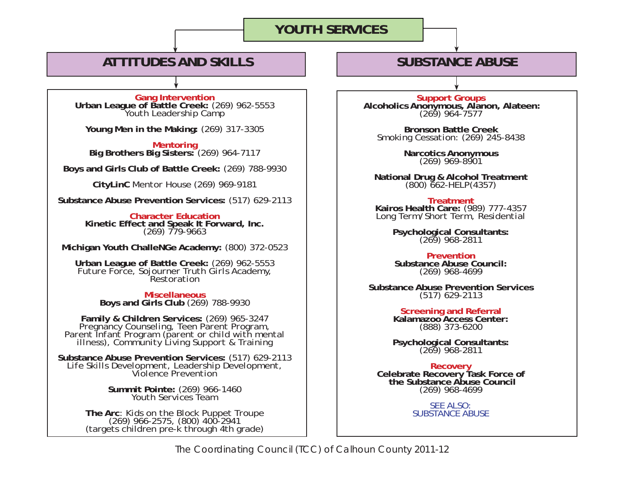## **ATTITUDES AND SKILLS**

**Gang Intervention Urban League of Battle Creek:** (269) 962-5553 *Youth Leadership Camp*

**Young Men in the Making:** (269) 317-3305

**Mentoring Big Brothers Big Sisters:** (269) 964-7117

**Boys and Girls Club of Battle Creek:** (269) 788-9930

**CityLinC** *Mentor House* (269) 969-9181

**Substance Abuse Prevention Services:** (517) 629-2113

**Character EducationKinetic Effect and Speak It Forward, Inc.** (269) 779-9663

**Michigan Youth ChalleNGe Academy:** (800) 372-0523

**Urban League of Battle Creek:** (269) 962-5553 *Future Force, Sojourner Truth Girls Academy, Restoration*

**Miscellaneous Boys and Girls Club** (269) 788-9930

**Family & Children Services:** (269) 965-3247 *Pregnancy Counseling, Teen Parent Program, Parent Infant Program (parent or child with mental illness), Community Living Support & Training*

**Substance Abuse Prevention Services:** (517) 629-2113 *Life Skills Development, Leadership Development, Violence Prevention*

**Summit Pointe:** (269) 966-1460 *Youth Services Team*

**The Arc**: *Kids on the Block Puppet Troupe* (269) 966-2575, (800) 400-2941 (targets children pre-k through 4th grade)

**Support Groups<br>Alcoholics Anonymous, Alanon, Alateen:**<br>(269) 964-7577

**SUBSTANCE ABUSE**

**Bronson Battle Creek***Smoking Cessation:* (269) 245-8438

**Narcotics Anonymous** (269) 969-8901

**National Drug & Alcohol Treatment** (800) 662-HELP(4357)

**TreatmentKairos Health Care:** (989) 777-4357 *Long Term/Short Term, Residential*

**Psychological Consultants:** (269) 968-2811

**Prevention Substance Abuse Council:** (269) 968-4699

**Substance Abuse Prevention Services** (517) 629-2113

> **Screening and Referral Kalamazoo Access Center:**  (888) 373-6200

**Psychological Consultants:** (269) 968-2811

**Recovery<br>Celebrate Recovery Task Force of<br>the Substance Abuse Council<br>(269) 968-4699** 

SEE ALSO:SUBSTANCE ABUSE